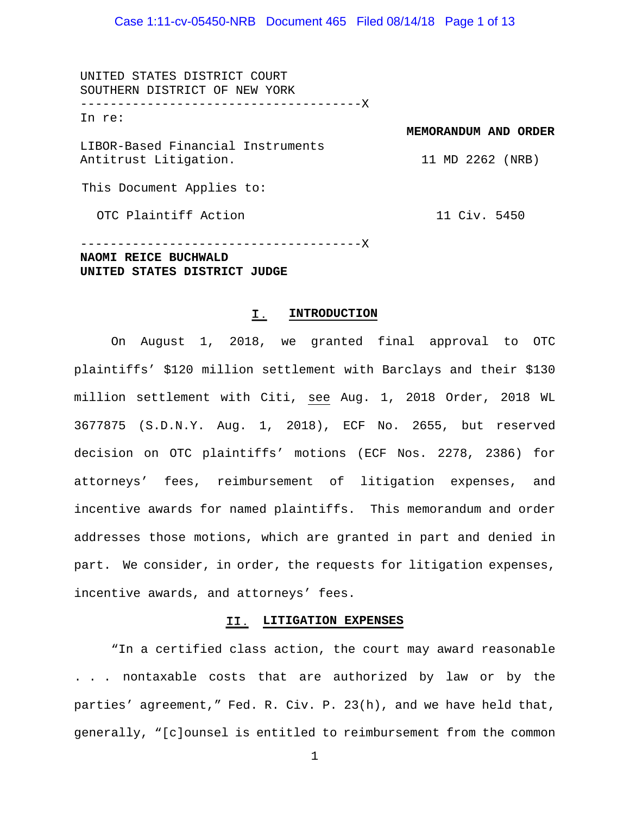UNITED STATES DISTRICT COURT SOUTHERN DISTRICT OF NEW YORK --------------------------------------X In re: LIBOR-Based Financial Instruments Antitrust Litigation. This Document Applies to: **MEMORANDUM AND ORDER** 11 MD 2262 (NRB)

OTC Plaintiff Action

11 Civ. 5450

--------------------------------------X **NAOMI REICE BUCHWALD UNITED STATES DISTRICT JUDGE**

#### I. **INTRODUCTION**

On August 1, 2018, we granted final approval to OTC plaintiffs' \$120 million settlement with Barclays and their \$130 million settlement with Citi, see Aug. 1, 2018 Order, 2018 WL 3677875 (S.D.N.Y. Aug. 1, 2018), ECF No. 2655, but reserved decision on OTC plaintiffs' motions (ECF Nos. 2278, 2386) for attorneys' fees, reimbursement of litigation expenses, and incentive awards for named plaintiffs. This memorandum and order addresses those motions, which are granted in part and denied in part. We consider, in order, the requests for litigation expenses, incentive awards, and attorneys' fees.

#### **LITIGATION EXPENSES**

"In a certified class action, the court may award reasonable . . . nontaxable costs that are authorized by law or by the parties' agreement," Fed. R. Civ. P. 23(h), and we have held that, generally, "[c]ounsel is entitled to reimbursement from the common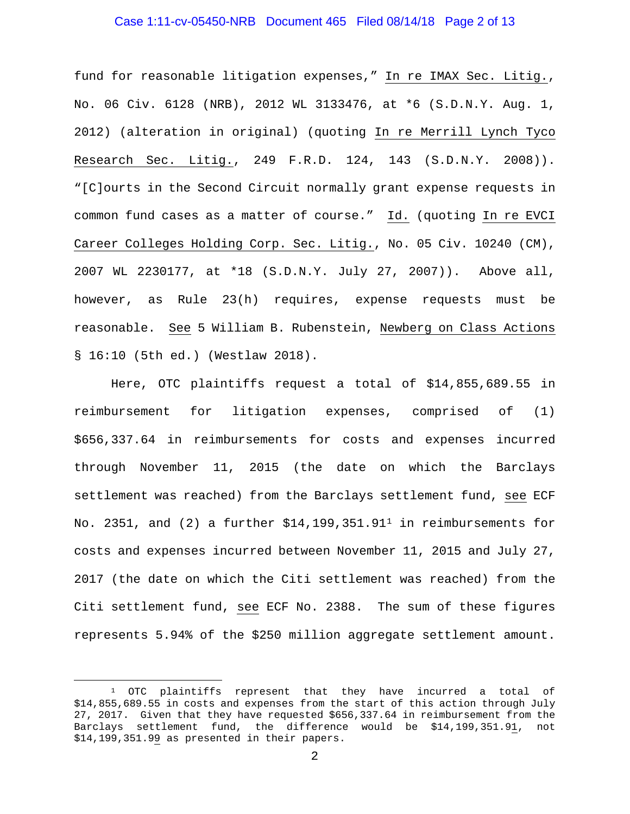## Case 1:11-cv-05450-NRB Document 465 Filed 08/14/18 Page 2 of 13

fund for reasonable litigation expenses," In re IMAX Sec. Litig., No. 06 Civ. 6128 (NRB), 2012 WL 3133476, at \*6 (S.D.N.Y. Aug. 1, 2012) (alteration in original) (quoting In re Merrill Lynch Tyco Research Sec. Litig., 249 F.R.D. 124, 143 (S.D.N.Y. 2008)). "[C]ourts in the Second Circuit normally grant expense requests in common fund cases as a matter of course." Id. (quoting In re EVCI Career Colleges Holding Corp. Sec. Litig., No. 05 Civ. 10240 (CM), 2007 WL 2230177, at \*18 (S.D.N.Y. July 27, 2007)). Above all, however, as Rule 23(h) requires, expense requests must be reasonable. See 5 William B. Rubenstein, Newberg on Class Actions § 16:10 (5th ed.) (Westlaw 2018).

Here, OTC plaintiffs request a total of \$14,855,689.55 in reimbursement for litigation expenses, comprised of (1) \$656,337.64 in reimbursements for costs and expenses incurred through November 11, 2015 (the date on which the Barclays settlement was reached) from the Barclays settlement fund, see ECF No. 235[1](#page-1-0), and (2) a further  $$14,199,351.91<sup>1</sup>$  in reimbursements for costs and expenses incurred between November 11, 2015 and July 27, 2017 (the date on which the Citi settlement was reached) from the Citi settlement fund, see ECF No. 2388. The sum of these figures represents 5.94% of the \$250 million aggregate settlement amount.

<span id="page-1-0"></span><sup>&</sup>lt;sup>1</sup> OTC plaintiffs represent that they have incurred a total of \$14,855,689.55 in costs and expenses from the start of this action through July 27, 2017. Given that they have requested \$656,337.64 in reimbursement from the Barclays settlement fund, the difference would be \$14,199,351.91, not \$14,199,351.99 as presented in their papers.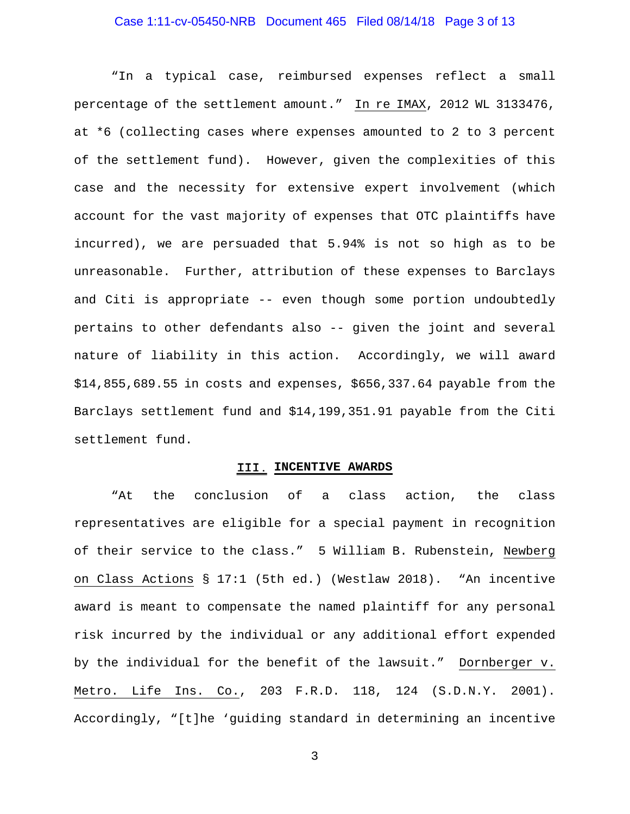## Case 1:11-cv-05450-NRB Document 465 Filed 08/14/18 Page 3 of 13

"In a typical case, reimbursed expenses reflect a small percentage of the settlement amount." In re IMAX, 2012 WL 3133476, at \*6 (collecting cases where expenses amounted to 2 to 3 percent of the settlement fund). However, given the complexities of this case and the necessity for extensive expert involvement (which account for the vast majority of expenses that OTC plaintiffs have incurred), we are persuaded that 5.94% is not so high as to be unreasonable. Further, attribution of these expenses to Barclays and Citi is appropriate -- even though some portion undoubtedly pertains to other defendants also -- given the joint and several nature of liability in this action. Accordingly, we will award \$14,855,689.55 in costs and expenses, \$656,337.64 payable from the Barclays settlement fund and \$14,199,351.91 payable from the Citi settlement fund.

#### III. INCENTIVE AWARDS

"At the conclusion of a class action, the class representatives are eligible for a special payment in recognition of their service to the class." 5 William B. Rubenstein, Newberg on Class Actions § 17:1 (5th ed.) (Westlaw 2018). "An incentive award is meant to compensate the named plaintiff for any personal risk incurred by the individual or any additional effort expended by the individual for the benefit of the lawsuit." Dornberger v. Metro. Life Ins. Co., 203 F.R.D. 118, 124 (S.D.N.Y. 2001). Accordingly, "[t]he 'guiding standard in determining an incentive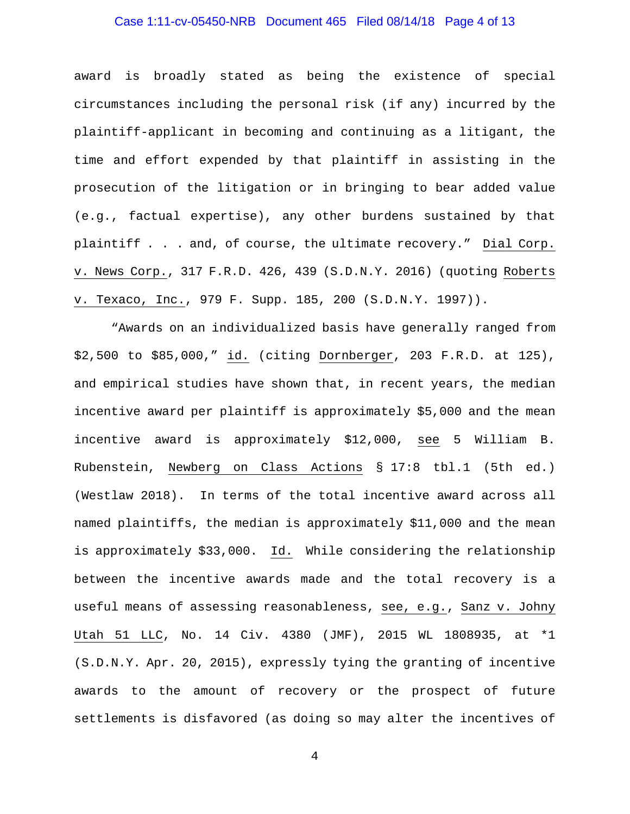# Case 1:11-cv-05450-NRB Document 465 Filed 08/14/18 Page 4 of 13

award is broadly stated as being the existence of special circumstances including the personal risk (if any) incurred by the plaintiff-applicant in becoming and continuing as a litigant, the time and effort expended by that plaintiff in assisting in the prosecution of the litigation or in bringing to bear added value (e.g., factual expertise), any other burdens sustained by that plaintiff . . . and, of course, the ultimate recovery." Dial Corp. v. News Corp., 317 F.R.D. 426, 439 (S.D.N.Y. 2016) (quoting Roberts v. Texaco, Inc., 979 F. Supp. 185, 200 (S.D.N.Y. 1997)).

"Awards on an individualized basis have generally ranged from \$2,500 to \$85,000," id. (citing Dornberger, 203 F.R.D. at 125), and empirical studies have shown that, in recent years, the median incentive award per plaintiff is approximately \$5,000 and the mean incentive award is approximately \$12,000, see 5 William B. Rubenstein, Newberg on Class Actions § 17:8 tbl.1 (5th ed.) (Westlaw 2018). In terms of the total incentive award across all named plaintiffs, the median is approximately \$11,000 and the mean is approximately \$33,000. Id. While considering the relationship between the incentive awards made and the total recovery is a useful means of assessing reasonableness, see, e.g., Sanz v. Johny Utah 51 LLC, No. 14 Civ. 4380 (JMF), 2015 WL 1808935, at \*1 (S.D.N.Y. Apr. 20, 2015), expressly tying the granting of incentive awards to the amount of recovery or the prospect of future settlements is disfavored (as doing so may alter the incentives of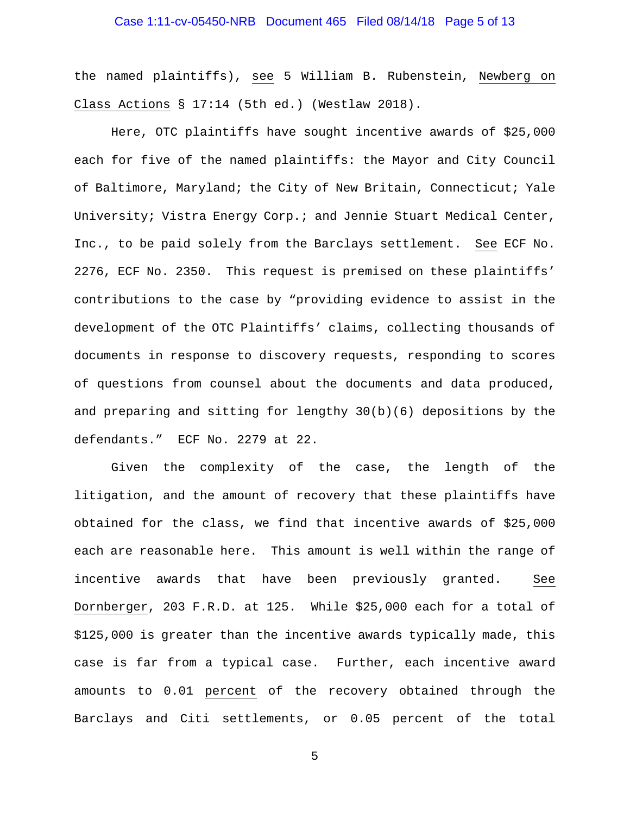## Case 1:11-cv-05450-NRB Document 465 Filed 08/14/18 Page 5 of 13

the named plaintiffs), see 5 William B. Rubenstein, Newberg on Class Actions § 17:14 (5th ed.) (Westlaw 2018).

Here, OTC plaintiffs have sought incentive awards of \$25,000 each for five of the named plaintiffs: the Mayor and City Council of Baltimore, Maryland; the City of New Britain, Connecticut; Yale University; Vistra Energy Corp.; and Jennie Stuart Medical Center, Inc., to be paid solely from the Barclays settlement. See ECF No. 2276, ECF No. 2350. This request is premised on these plaintiffs' contributions to the case by "providing evidence to assist in the development of the OTC Plaintiffs' claims, collecting thousands of documents in response to discovery requests, responding to scores of questions from counsel about the documents and data produced, and preparing and sitting for lengthy 30(b)(6) depositions by the defendants." ECF No. 2279 at 22.

Given the complexity of the case, the length of the litigation, and the amount of recovery that these plaintiffs have obtained for the class, we find that incentive awards of \$25,000 each are reasonable here. This amount is well within the range of incentive awards that have been previously granted. See Dornberger, 203 F.R.D. at 125. While \$25,000 each for a total of \$125,000 is greater than the incentive awards typically made, this case is far from a typical case. Further, each incentive award amounts to 0.01 percent of the recovery obtained through the Barclays and Citi settlements, or 0.05 percent of the total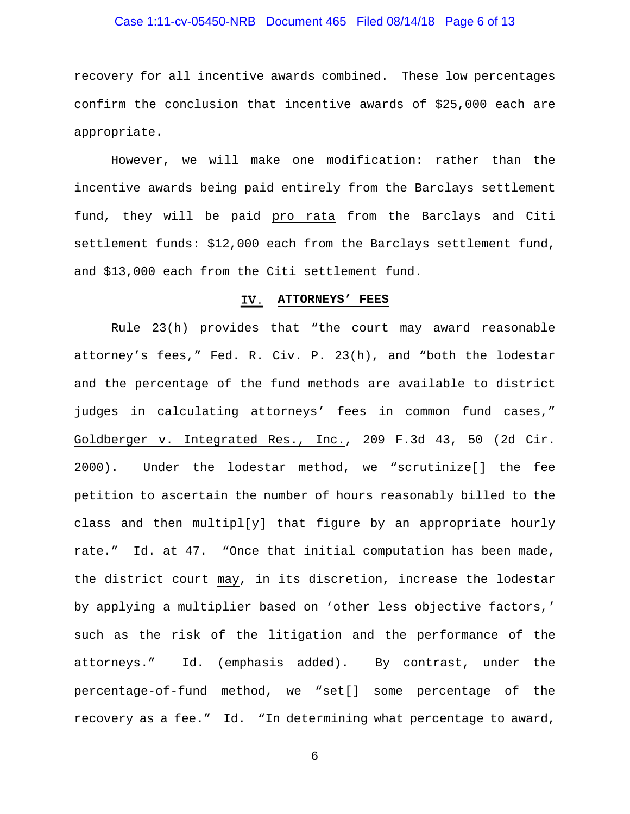## Case 1:11-cv-05450-NRB Document 465 Filed 08/14/18 Page 6 of 13

recovery for all incentive awards combined. These low percentages confirm the conclusion that incentive awards of \$25,000 each are appropriate.

However, we will make one modification: rather than the incentive awards being paid entirely from the Barclays settlement fund, they will be paid pro rata from the Barclays and Citi settlement funds: \$12,000 each from the Barclays settlement fund, and \$13,000 each from the Citi settlement fund.

#### **ATTORNEYS' FEES**

Rule 23(h) provides that "the court may award reasonable attorney's fees," Fed. R. Civ. P. 23(h), and "both the lodestar and the percentage of the fund methods are available to district judges in calculating attorneys' fees in common fund cases," Goldberger v. Integrated Res., Inc., 209 F.3d 43, 50 (2d Cir. 2000). Under the lodestar method, we "scrutinize[] the fee petition to ascertain the number of hours reasonably billed to the class and then multipl[y] that figure by an appropriate hourly rate." Id. at 47. "Once that initial computation has been made, the district court may, in its discretion, increase the lodestar by applying a multiplier based on 'other less objective factors,' such as the risk of the litigation and the performance of the attorneys." Id. (emphasis added). By contrast, under the percentage-of-fund method, we "set[] some percentage of the recovery as a fee." Id. "In determining what percentage to award,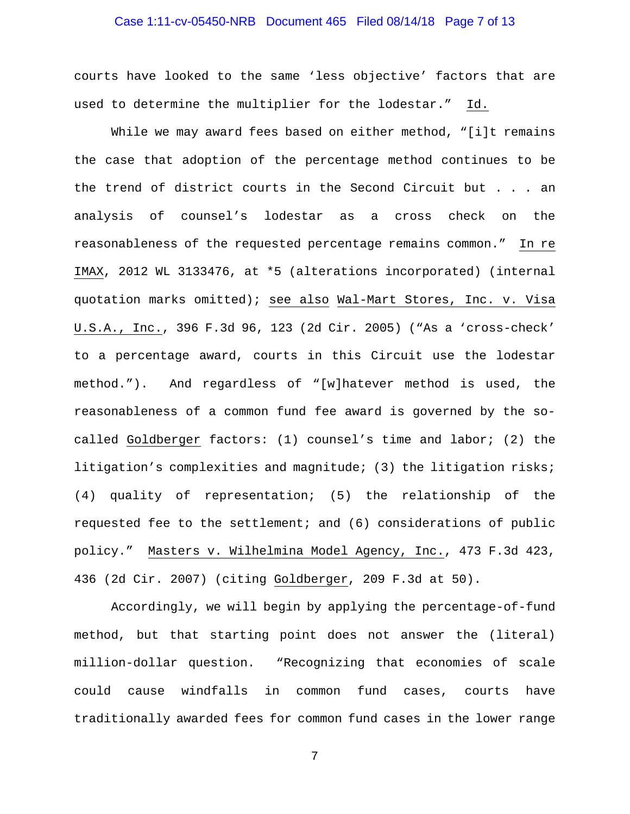## Case 1:11-cv-05450-NRB Document 465 Filed 08/14/18 Page 7 of 13

courts have looked to the same 'less objective' factors that are used to determine the multiplier for the lodestar." Id.

While we may award fees based on either method, "[i]t remains the case that adoption of the percentage method continues to be the trend of district courts in the Second Circuit but . . . an analysis of counsel's lodestar as a cross check on the reasonableness of the requested percentage remains common." In re IMAX, 2012 WL 3133476, at \*5 (alterations incorporated) (internal quotation marks omitted); see also Wal-Mart Stores, Inc. v. Visa U.S.A., Inc., 396 F.3d 96, 123 (2d Cir. 2005) ("As a 'cross-check' to a percentage award, courts in this Circuit use the lodestar method."). And regardless of "[w]hatever method is used, the reasonableness of a common fund fee award is governed by the socalled Goldberger factors: (1) counsel's time and labor; (2) the litigation's complexities and magnitude; (3) the litigation risks; (4) quality of representation; (5) the relationship of the requested fee to the settlement; and (6) considerations of public policy." Masters v. Wilhelmina Model Agency, Inc., 473 F.3d 423, 436 (2d Cir. 2007) (citing Goldberger, 209 F.3d at 50).

Accordingly, we will begin by applying the percentage-of-fund method, but that starting point does not answer the (literal) million-dollar question. "Recognizing that economies of scale could cause windfalls in common fund cases, courts have traditionally awarded fees for common fund cases in the lower range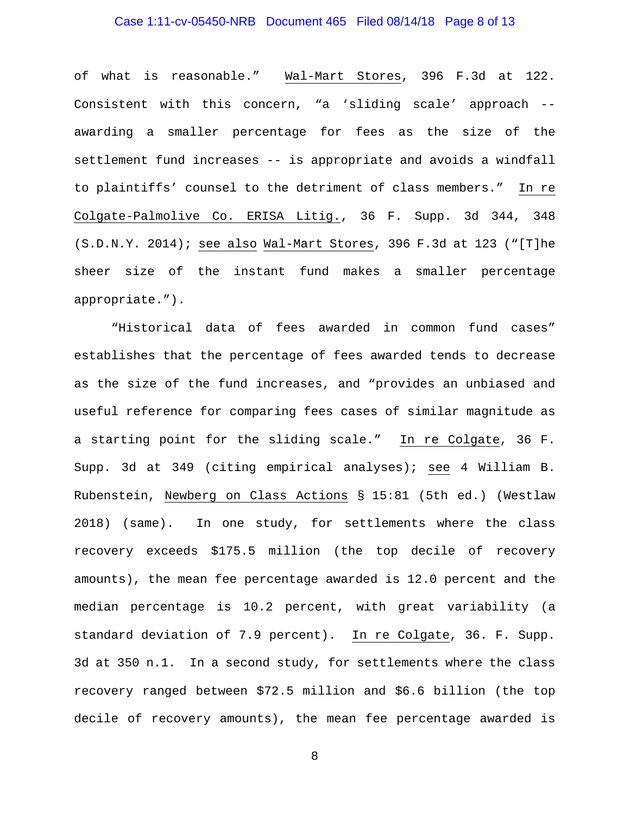# Case 1:11-cv-05450-NRB Document 465 Filed 08/14/18 Page 8 of 13

of what is reasonable." Wal-Mart Stores, 396 F.3d at 122. Consistent with this concern, "a 'sliding scale' approach - awarding a smaller percentage for fees as the size of the settlement fund increases -- is appropriate and avoids a windfall to plaintiffs' counsel to the detriment of class members." In re Colgate-Palmolive Co. ERISA Litig., 36 F. Supp. 3d 344, 348 (S.D.N.Y. 2014); see also Wal-Mart Stores, 396 F.3d at 123 ("[T]he sheer size of the instant fund makes a smaller percentage appropriate.").

"Historical data of fees awarded in common fund cases" establishes that the percentage of fees awarded tends to decrease as the size of the fund increases, and "provides an unbiased and useful reference for comparing fees cases of similar magnitude as a starting point for the sliding scale." In re Colgate, 36 F. Supp. 3d at 349 (citing empirical analyses); see 4 William B. Rubenstein, Newberg on Class Actions § 15:81 (5th ed.) (Westlaw 2018) (same). In one study, for settlements where the class recovery exceeds \$175.5 million (the top decile of recovery amounts), the mean fee percentage awarded is 12.0 percent and the median percentage is 10.2 percent, with great variability (a standard deviation of 7.9 percent). In re Colgate, 36. F. Supp. 3d at 350 n.1. In a second study, for settlements where the class recovery ranged between \$72.5 million and \$6.6 billion (the top decile of recovery amounts), the mean fee percentage awarded is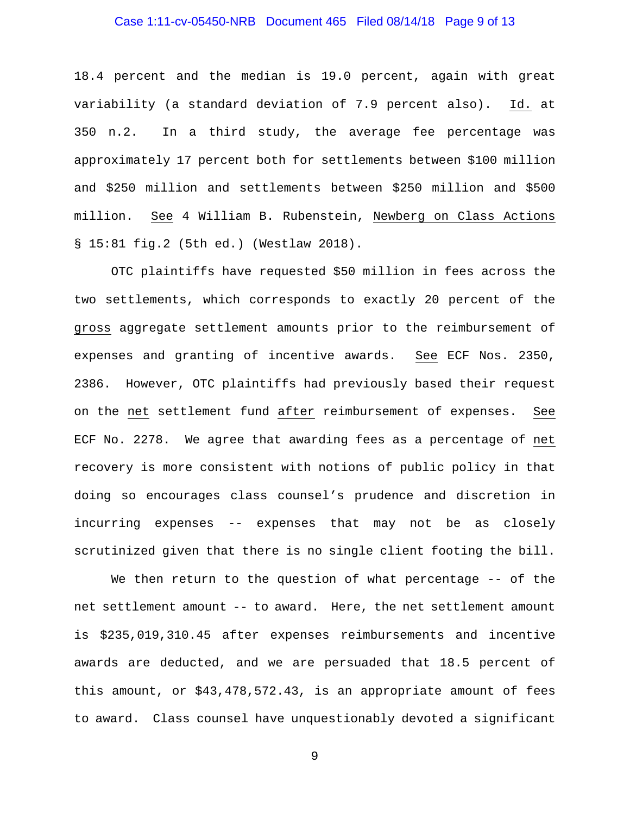## Case 1:11-cv-05450-NRB Document 465 Filed 08/14/18 Page 9 of 13

18.4 percent and the median is 19.0 percent, again with great variability (a standard deviation of 7.9 percent also). Id. at 350 n.2. In a third study, the average fee percentage was approximately 17 percent both for settlements between \$100 million and \$250 million and settlements between \$250 million and \$500 million. See 4 William B. Rubenstein, Newberg on Class Actions § 15:81 fig.2 (5th ed.) (Westlaw 2018).

OTC plaintiffs have requested \$50 million in fees across the two settlements, which corresponds to exactly 20 percent of the gross aggregate settlement amounts prior to the reimbursement of expenses and granting of incentive awards. See ECF Nos. 2350, 2386. However, OTC plaintiffs had previously based their request on the net settlement fund after reimbursement of expenses. See ECF No. 2278. We agree that awarding fees as a percentage of net recovery is more consistent with notions of public policy in that doing so encourages class counsel's prudence and discretion in incurring expenses -- expenses that may not be as closely scrutinized given that there is no single client footing the bill.

We then return to the question of what percentage -- of the net settlement amount -- to award. Here, the net settlement amount is \$235,019,310.45 after expenses reimbursements and incentive awards are deducted, and we are persuaded that 18.5 percent of this amount, or \$43,478,572.43, is an appropriate amount of fees to award. Class counsel have unquestionably devoted a significant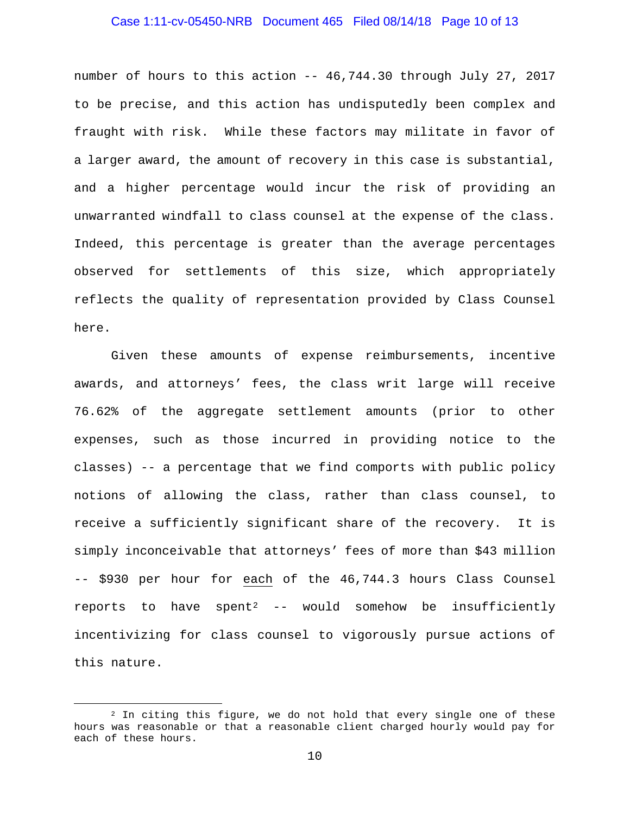## Case 1:11-cv-05450-NRB Document 465 Filed 08/14/18 Page 10 of 13

number of hours to this action -- 46,744.30 through July 27, 2017 to be precise, and this action has undisputedly been complex and fraught with risk. While these factors may militate in favor of a larger award, the amount of recovery in this case is substantial, and a higher percentage would incur the risk of providing an unwarranted windfall to class counsel at the expense of the class. Indeed, this percentage is greater than the average percentages observed for settlements of this size, which appropriately reflects the quality of representation provided by Class Counsel here.

Given these amounts of expense reimbursements, incentive awards, and attorneys' fees, the class writ large will receive 76.62% of the aggregate settlement amounts (prior to other expenses, such as those incurred in providing notice to the classes) -- a percentage that we find comports with public policy notions of allowing the class, rather than class counsel, to receive a sufficiently significant share of the recovery. It is simply inconceivable that attorneys' fees of more than \$43 million -- \$930 per hour for each of the 46,744.3 hours Class Counsel reports to have  $spent^2$  $spent^2$  -- would somehow be insufficiently incentivizing for class counsel to vigorously pursue actions of this nature.

<span id="page-9-0"></span> $2$  In citing this figure, we do not hold that every single one of these hours was reasonable or that a reasonable client charged hourly would pay for each of these hours.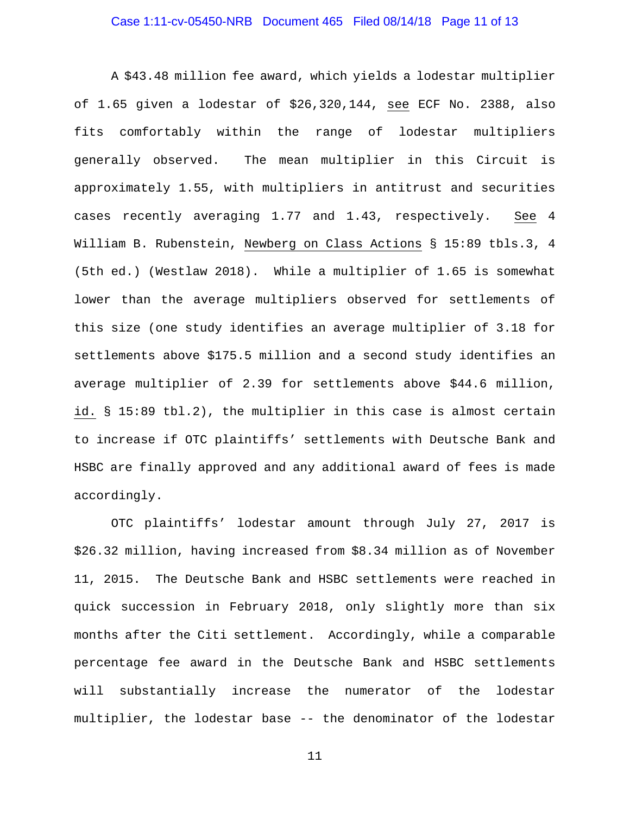## Case 1:11-cv-05450-NRB Document 465 Filed 08/14/18 Page 11 of 13

A \$43.48 million fee award, which yields a lodestar multiplier of 1.65 given a lodestar of \$26,320,144, see ECF No. 2388, also fits comfortably within the range of lodestar multipliers generally observed. The mean multiplier in this Circuit is approximately 1.55, with multipliers in antitrust and securities cases recently averaging 1.77 and 1.43, respectively. See 4 William B. Rubenstein, Newberg on Class Actions § 15:89 tbls.3, 4 (5th ed.) (Westlaw 2018). While a multiplier of 1.65 is somewhat lower than the average multipliers observed for settlements of this size (one study identifies an average multiplier of 3.18 for settlements above \$175.5 million and a second study identifies an average multiplier of 2.39 for settlements above \$44.6 million, id. § 15:89 tbl.2), the multiplier in this case is almost certain to increase if OTC plaintiffs' settlements with Deutsche Bank and HSBC are finally approved and any additional award of fees is made accordingly.

OTC plaintiffs' lodestar amount through July 27, 2017 is \$26.32 million, having increased from \$8.34 million as of November 11, 2015. The Deutsche Bank and HSBC settlements were reached in quick succession in February 2018, only slightly more than six months after the Citi settlement. Accordingly, while a comparable percentage fee award in the Deutsche Bank and HSBC settlements will substantially increase the numerator of the lodestar multiplier, the lodestar base -- the denominator of the lodestar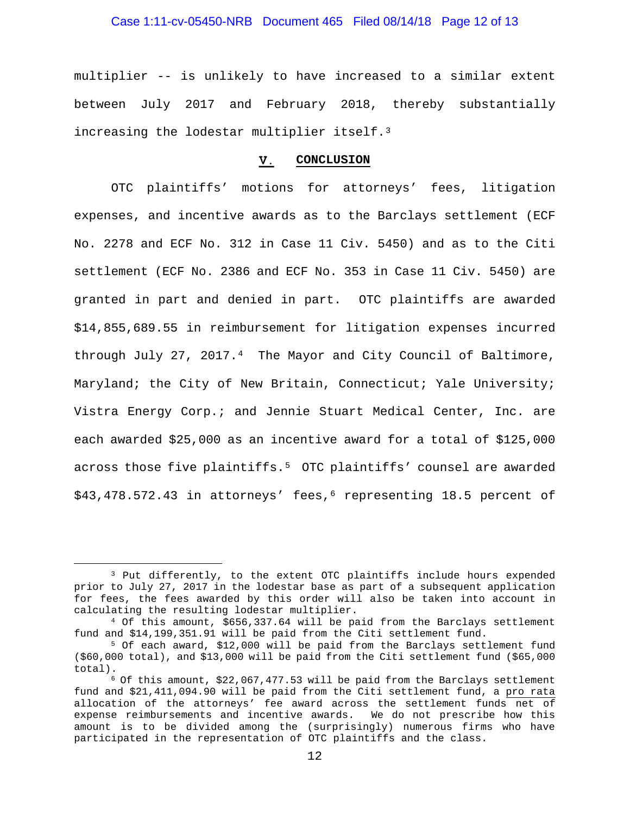## Case 1:11-cv-05450-NRB Document 465 Filed 08/14/18 Page 12 of 13

multiplier -- is unlikely to have increased to a similar extent between July 2017 and February 2018, thereby substantially increasing the lodestar multiplier itself.[3](#page-11-0)

#### V. **CONCLUSION**

OTC plaintiffs' motions for attorneys' fees, litigation expenses, and incentive awards as to the Barclays settlement (ECF No. 2278 and ECF No. 312 in Case 11 Civ. 5450) and as to the Citi settlement (ECF No. 2386 and ECF No. 353 in Case 11 Civ. 5450) are granted in part and denied in part. OTC plaintiffs are awarded \$14,855,689.55 in reimbursement for litigation expenses incurred through July 27, 2017.[4](#page-11-1) The Mayor and City Council of Baltimore, Maryland; the City of New Britain, Connecticut; Yale University; Vistra Energy Corp.; and Jennie Stuart Medical Center, Inc. are each awarded \$25,000 as an incentive award for a total of \$125,000 across those five plaintiffs.[5](#page-11-2) OTC plaintiffs' counsel are awarded \$43,478.572.43 in attorneys' fees,[6](#page-11-3) representing 18.5 percent of

<span id="page-11-0"></span> <sup>3</sup> Put differently, to the extent OTC plaintiffs include hours expended prior to July 27, 2017 in the lodestar base as part of a subsequent application for fees, the fees awarded by this order will also be taken into account in calculating the resulting lodestar multiplier.

<span id="page-11-1"></span><sup>4</sup> Of this amount, \$656,337.64 will be paid from the Barclays settlement fund and \$14,199,351.91 will be paid from the Citi settlement fund.

<span id="page-11-2"></span><sup>5</sup> Of each award, \$12,000 will be paid from the Barclays settlement fund  $($ \$60,000 total), and \$13,000 will be paid from the Citi settlement fund  $($ \$65,000 total).

<span id="page-11-3"></span> $6$  Of this amount,  $$22,067,477.53$  will be paid from the Barclays settlement fund and \$21,411,094.90 will be paid from the Citi settlement fund, a pro rata allocation of the attorneys' fee award across the settlement funds net of expense reimbursements and incentive awards. We do not prescribe how this amount is to be divided among the (surprisingly) numerous firms who have participated in the representation of OTC plaintiffs and the class.